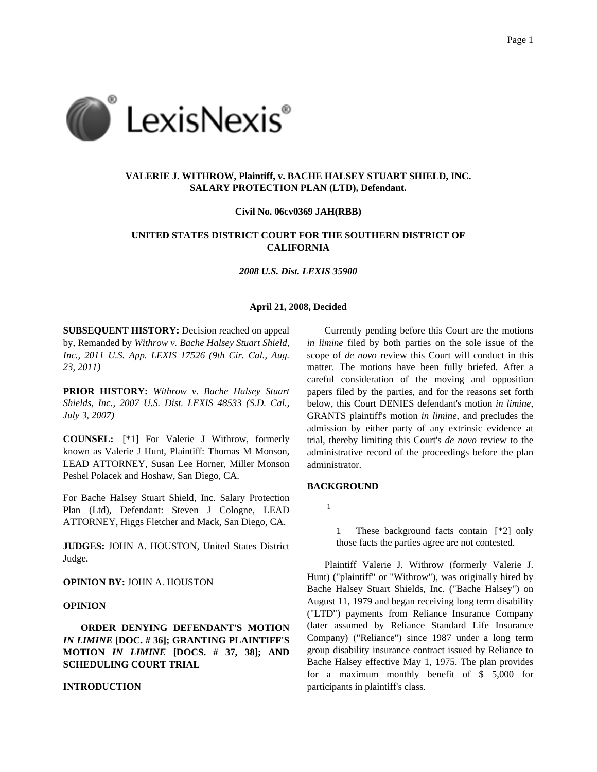

# **VALERIE J. WITHROW, Plaintiff, v. BACHE HALSEY STUART SHIELD, INC. SALARY PROTECTION PLAN (LTD), Defendant.**

#### **Civil No. 06cv0369 JAH(RBB)**

# **UNITED STATES DISTRICT COURT FOR THE SOUTHERN DISTRICT OF CALIFORNIA**

*2008 U.S. Dist. LEXIS 35900*

### **April 21, 2008, Decided**

**SUBSEQUENT HISTORY:** Decision reached on appeal by, Remanded by *Withrow v. Bache Halsey Stuart Shield, Inc., 2011 U.S. App. LEXIS 17526 (9th Cir. Cal., Aug. 23, 2011)*

**PRIOR HISTORY:** *Withrow v. Bache Halsey Stuart Shields, Inc., 2007 U.S. Dist. LEXIS 48533 (S.D. Cal., July 3, 2007)*

**COUNSEL:** [\*1] For Valerie J Withrow, formerly known as Valerie J Hunt, Plaintiff: Thomas M Monson, LEAD ATTORNEY, Susan Lee Horner, Miller Monson Peshel Polacek and Hoshaw, San Diego, CA.

For Bache Halsey Stuart Shield, Inc. Salary Protection Plan (Ltd), Defendant: Steven J Cologne, LEAD ATTORNEY, Higgs Fletcher and Mack, San Diego, CA.

**JUDGES:** JOHN A. HOUSTON, United States District Judge.

**OPINION BY:** JOHN A. HOUSTON

## **OPINION**

**ORDER DENYING DEFENDANT'S MOTION** *IN LIMINE* **[DOC. # 36]; GRANTING PLAINTIFF'S MOTION** *IN LIMINE* **[DOCS. # 37, 38]; AND SCHEDULING COURT TRIAL**

## **INTRODUCTION**

Currently pending before this Court are the motions *in limine* filed by both parties on the sole issue of the scope of *de novo* review this Court will conduct in this matter. The motions have been fully briefed. After a careful consideration of the moving and opposition papers filed by the parties, and for the reasons set forth below, this Court DENIES defendant's motion *in limine*, GRANTS plaintiff's motion *in limine*, and precludes the admission by either party of any extrinsic evidence at trial, thereby limiting this Court's *de novo* review to the administrative record of the proceedings before the plan administrator.

### **BACKGROUND**

1

1 These background facts contain [\*2] only those facts the parties agree are not contested.

Plaintiff Valerie J. Withrow (formerly Valerie J. Hunt) ("plaintiff" or "Withrow"), was originally hired by Bache Halsey Stuart Shields, Inc. ("Bache Halsey") on August 11, 1979 and began receiving long term disability ("LTD") payments from Reliance Insurance Company (later assumed by Reliance Standard Life Insurance Company) ("Reliance") since 1987 under a long term group disability insurance contract issued by Reliance to Bache Halsey effective May 1, 1975. The plan provides for a maximum monthly benefit of \$ 5,000 for participants in plaintiff's class.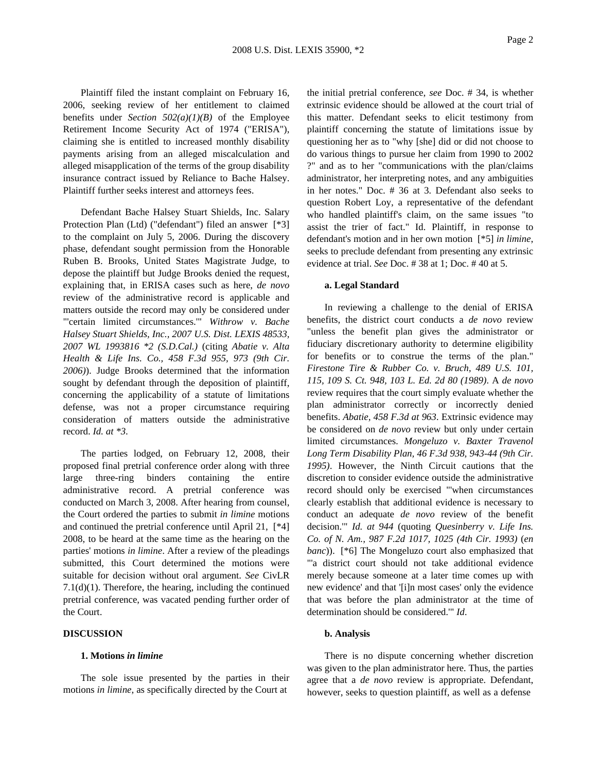Plaintiff filed the instant complaint on February 16, 2006, seeking review of her entitlement to claimed benefits under *Section 502(a)(1)(B)* of the Employee Retirement Income Security Act of 1974 ("ERISA"), claiming she is entitled to increased monthly disability payments arising from an alleged miscalculation and alleged misapplication of the terms of the group disability insurance contract issued by Reliance to Bache Halsey. Plaintiff further seeks interest and attorneys fees.

Defendant Bache Halsey Stuart Shields, Inc. Salary Protection Plan (Ltd) ("defendant") filed an answer [\*3] to the complaint on July 5, 2006. During the discovery phase, defendant sought permission from the Honorable Ruben B. Brooks, United States Magistrate Judge, to depose the plaintiff but Judge Brooks denied the request, explaining that, in ERISA cases such as here, *de novo* review of the administrative record is applicable and matters outside the record may only be considered under "'certain limited circumstances.'" *Withrow v. Bache Halsey Stuart Shields, Inc., 2007 U.S. Dist. LEXIS 48533, 2007 WL 1993816 \*2 (S.D.Cal.)* (citing *Abatie v. Alta Health & Life Ins. Co., 458 F.3d 955, 973 (9th Cir. 2006)*). Judge Brooks determined that the information sought by defendant through the deposition of plaintiff, concerning the applicability of a statute of limitations defense, was not a proper circumstance requiring consideration of matters outside the administrative record. *Id. at \*3*.

The parties lodged, on February 12, 2008, their proposed final pretrial conference order along with three large three-ring binders containing the entire administrative record. A pretrial conference was conducted on March 3, 2008. After hearing from counsel, the Court ordered the parties to submit *in limine* motions and continued the pretrial conference until April 21, [\*4] 2008, to be heard at the same time as the hearing on the parties' motions *in limine*. After a review of the pleadings submitted, this Court determined the motions were suitable for decision without oral argument. *See* CivLR 7.1(d)(1). Therefore, the hearing, including the continued pretrial conference, was vacated pending further order of the Court.

# **DISCUSSION**

#### **1. Motions** *in limine*

The sole issue presented by the parties in their motions *in limine*, as specifically directed by the Court at

the initial pretrial conference, *see* Doc. # 34, is whether extrinsic evidence should be allowed at the court trial of this matter. Defendant seeks to elicit testimony from plaintiff concerning the statute of limitations issue by questioning her as to "why [she] did or did not choose to do various things to pursue her claim from 1990 to 2002 ?" and as to her "communications with the plan/claims administrator, her interpreting notes, and any ambiguities in her notes." Doc. # 36 at 3. Defendant also seeks to question Robert Loy, a representative of the defendant who handled plaintiff's claim, on the same issues "to assist the trier of fact." Id. Plaintiff, in response to defendant's motion and in her own motion [\*5] *in limine*, seeks to preclude defendant from presenting any extrinsic evidence at trial. *See* Doc. # 38 at 1; Doc. # 40 at 5.

#### **a. Legal Standard**

In reviewing a challenge to the denial of ERISA benefits, the district court conducts a *de novo* review "unless the benefit plan gives the administrator or fiduciary discretionary authority to determine eligibility for benefits or to construe the terms of the plan." *Firestone Tire & Rubber Co. v. Bruch, 489 U.S. 101, 115, 109 S. Ct. 948, 103 L. Ed. 2d 80 (1989)*. A *de novo* review requires that the court simply evaluate whether the plan administrator correctly or incorrectly denied benefits. *Abatie, 458 F.3d at 963*. Extrinsic evidence may be considered on *de novo* review but only under certain limited circumstances. *Mongeluzo v. Baxter Travenol Long Term Disability Plan, 46 F.3d 938, 943-44 (9th Cir. 1995)*. However, the Ninth Circuit cautions that the discretion to consider evidence outside the administrative record should only be exercised "'when circumstances clearly establish that additional evidence is necessary to conduct an adequate *de novo* review of the benefit decision.'" *Id. at 944* (quoting *Quesinberry v. Life Ins. Co. of N. Am., 987 F.2d 1017, 1025 (4th Cir. 1993)* (*en banc*)). [\*6] The Mongeluzo court also emphasized that "'a district court should not take additional evidence merely because someone at a later time comes up with new evidence' and that '[i]n most cases' only the evidence that was before the plan administrator at the time of determination should be considered.'" *Id*.

#### **b. Analysis**

There is no dispute concerning whether discretion was given to the plan administrator here. Thus, the parties agree that a *de novo* review is appropriate. Defendant, however, seeks to question plaintiff, as well as a defense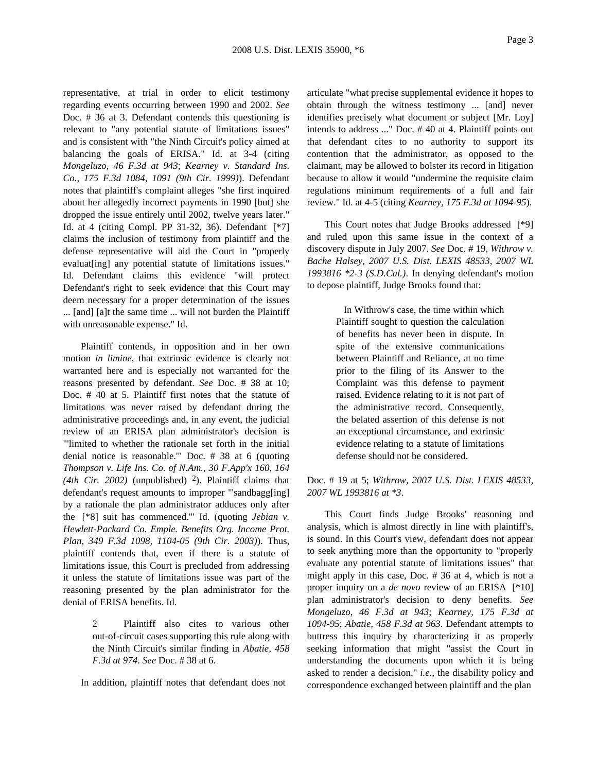representative, at trial in order to elicit testimony regarding events occurring between 1990 and 2002. *See* Doc. # 36 at 3. Defendant contends this questioning is relevant to "any potential statute of limitations issues" and is consistent with "the Ninth Circuit's policy aimed at balancing the goals of ERISA." Id. at 3-4 (citing *Mongeluzo, 46 F.3d at 943*; *Kearney v. Standard Ins. Co., 175 F.3d 1084, 1091 (9th Cir. 1999)*). Defendant notes that plaintiff's complaint alleges "she first inquired about her allegedly incorrect payments in 1990 [but] she dropped the issue entirely until 2002, twelve years later." Id. at 4 (citing Compl. PP 31-32, 36). Defendant [\*7] claims the inclusion of testimony from plaintiff and the defense representative will aid the Court in "properly evaluat [ing] any potential statute of limitations issues." Id. Defendant claims this evidence "will protect Defendant's right to seek evidence that this Court may deem necessary for a proper determination of the issues ... [and] [a]t the same time ... will not burden the Plaintiff with unreasonable expense." Id.

Plaintiff contends, in opposition and in her own motion *in limine*, that extrinsic evidence is clearly not warranted here and is especially not warranted for the reasons presented by defendant. *See* Doc. # 38 at 10; Doc. # 40 at 5. Plaintiff first notes that the statute of limitations was never raised by defendant during the administrative proceedings and, in any event, the judicial review of an ERISA plan administrator's decision is "'limited to whether the rationale set forth in the initial denial notice is reasonable.'" Doc. # 38 at 6 (quoting *Thompson v. Life Ins. Co. of N.Am., 30 F.App'x 160, 164* (4th Cir. 2002) (unpublished)  $2$ ). Plaintiff claims that defendant's request amounts to improper "'sandbagg[ing] by a rationale the plan administrator adduces only after the [\*8] suit has commenced.'" Id. (quoting *Jebian v. Hewlett-Packard Co. Emple. Benefits Org. Income Prot. Plan, 349 F.3d 1098, 1104-05 (9th Cir. 2003)*). Thus, plaintiff contends that, even if there is a statute of limitations issue, this Court is precluded from addressing it unless the statute of limitations issue was part of the reasoning presented by the plan administrator for the denial of ERISA benefits. Id.

> 2 Plaintiff also cites to various other out-of-circuit cases supporting this rule along with the Ninth Circuit's similar finding in *Abatie, 458 F.3d at 974*. *See* Doc. # 38 at 6.

In addition, plaintiff notes that defendant does not

articulate "what precise supplemental evidence it hopes to obtain through the witness testimony ... [and] never identifies precisely what document or subject [Mr. Loy] intends to address ..." Doc. # 40 at 4. Plaintiff points out that defendant cites to no authority to support its contention that the administrator, as opposed to the claimant, may be allowed to bolster its record in litigation because to allow it would "undermine the requisite claim regulations minimum requirements of a full and fair review." Id. at 4-5 (citing *Kearney, 175 F.3d at 1094-95*).

This Court notes that Judge Brooks addressed [\*9] and ruled upon this same issue in the context of a discovery dispute in July 2007. *See* Doc. # 19, *Withrow v. Bache Halsey, 2007 U.S. Dist. LEXIS 48533, 2007 WL 1993816 \*2-3 (S.D.Cal.)*. In denying defendant's motion to depose plaintiff, Judge Brooks found that:

> In Withrow's case, the time within which Plaintiff sought to question the calculation of benefits has never been in dispute. In spite of the extensive communications between Plaintiff and Reliance, at no time prior to the filing of its Answer to the Complaint was this defense to payment raised. Evidence relating to it is not part of the administrative record. Consequently, the belated assertion of this defense is not an exceptional circumstance, and extrinsic evidence relating to a statute of limitations defense should not be considered.

Doc. # 19 at 5; *Withrow, 2007 U.S. Dist. LEXIS 48533, 2007 WL 1993816 at \*3*.

This Court finds Judge Brooks' reasoning and analysis, which is almost directly in line with plaintiff's, is sound. In this Court's view, defendant does not appear to seek anything more than the opportunity to "properly evaluate any potential statute of limitations issues" that might apply in this case, Doc. # 36 at 4, which is not a proper inquiry on a *de novo* review of an ERISA [\*10] plan administrator's decision to deny benefits. *See Mongeluzo, 46 F.3d at 943*; *Kearney, 175 F.3d at 1094-95*; *Abatie, 458 F.3d at 963*. Defendant attempts to buttress this inquiry by characterizing it as properly seeking information that might "assist the Court in understanding the documents upon which it is being asked to render a decision," *i.e.*, the disability policy and correspondence exchanged between plaintiff and the plan